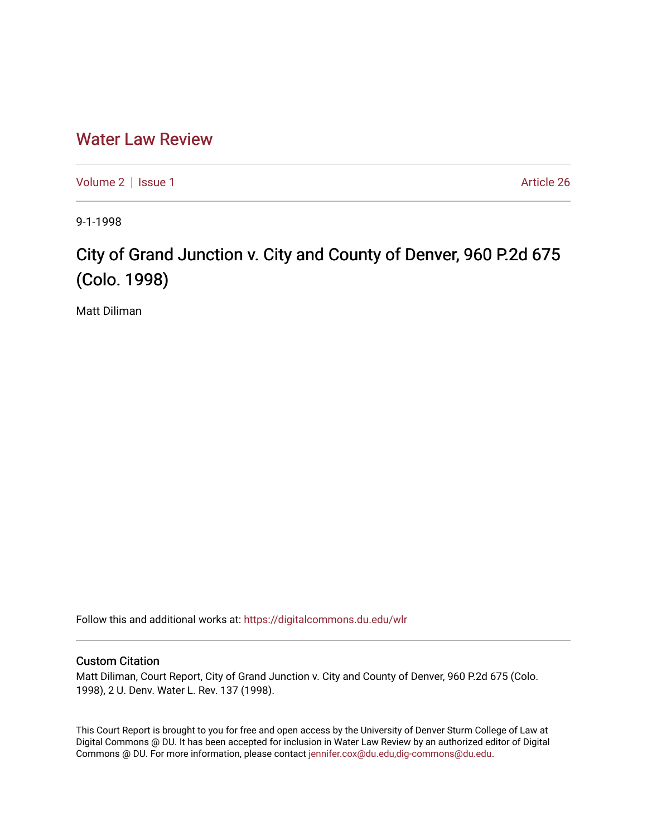## [Water Law Review](https://digitalcommons.du.edu/wlr)

[Volume 2](https://digitalcommons.du.edu/wlr/vol2) | [Issue 1](https://digitalcommons.du.edu/wlr/vol2/iss1) Article 26

9-1-1998

## City of Grand Junction v. City and County of Denver, 960 P.2d 675 (Colo. 1998)

Matt Diliman

Follow this and additional works at: [https://digitalcommons.du.edu/wlr](https://digitalcommons.du.edu/wlr?utm_source=digitalcommons.du.edu%2Fwlr%2Fvol2%2Fiss1%2F26&utm_medium=PDF&utm_campaign=PDFCoverPages) 

## Custom Citation

Matt Diliman, Court Report, City of Grand Junction v. City and County of Denver, 960 P.2d 675 (Colo. 1998), 2 U. Denv. Water L. Rev. 137 (1998).

This Court Report is brought to you for free and open access by the University of Denver Sturm College of Law at Digital Commons @ DU. It has been accepted for inclusion in Water Law Review by an authorized editor of Digital Commons @ DU. For more information, please contact [jennifer.cox@du.edu,dig-commons@du.edu.](mailto:jennifer.cox@du.edu,dig-commons@du.edu)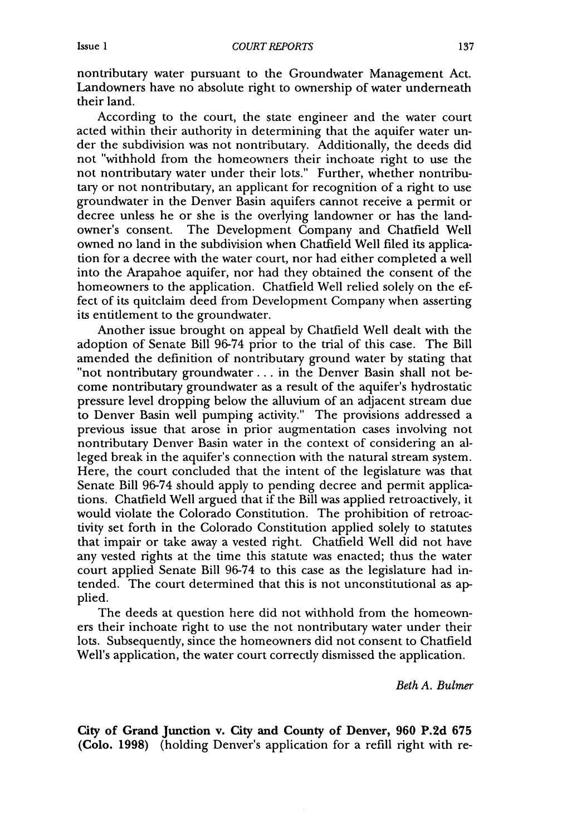nontributary water pursuant to the Groundwater Management Act. Landowners have no absolute right to ownership of water underneath their land.

According to the court, the state engineer and the water court acted within their authority in determining that the aquifer water under the subdivision was not nontributary. Additionally, the deeds did not "withhold from the homeowners their inchoate right to use the not nontributary water under their lots." Further, whether nontributary or not nontributary, an applicant for recognition of a right to use groundwater in the Denver Basin aquifers cannot receive a permit or decree unless he or she is the overlying landowner or has the landowner's consent. The Development Company and Chatfield Well owned no land in the subdivision when Chatfield Well filed its application for a decree with the water court, nor had either completed a well into the Arapahoe aquifer, nor had they obtained the consent of the homeowners to the application. Chatfield Well relied solely on the effect of its quitclaim deed from Development Company when asserting its entitlement to the groundwater.

Another issue brought on appeal by Chatfield Well dealt with the adoption of Senate Bill 96-74 prior to the trial of this case. The Bill amended the definition of nontributary ground water by stating that "not nontributary groundwater... in the Denver Basin shall not become nontributary groundwater as a result of the aquifer's hydrostatic pressure level dropping below the alluvium of an adjacent stream due to Denver Basin well pumping activity." The provisions addressed a previous issue that arose in prior augmentation cases involving not nontributary Denver Basin water in the context of considering an alleged break in the aquifer's connection with the natural stream system. Here, the court concluded that the intent of the legislature was that Senate Bill 96-74 should apply to pending decree and permit applications. Chatfield Well argued that if the Bill was applied retroactively, it would violate the Colorado Constitution. The prohibition of retroactivity set forth in the Colorado Constitution applied solely to statutes that impair or take away a vested right. Chatfield Well did not have any vested rights at the time this statute was enacted; thus the water court applied Senate Bill 96-74 to this case as the legislature had intended. The court determined that this is not unconstitutional as applied.

The deeds at question here did not withhold from the homeowners their inchoate right to use the not nontributary water under their lots. Subsequently, since the homeowners did not consent to Chatfield Well's application, the water court correctly dismissed the application.

*Beth A. Bulmer*

**City of Grand Junction v. City and County of Denver, 960 P.2d 675 (Colo. 1998)** (holding Denver's application for a refill right with re-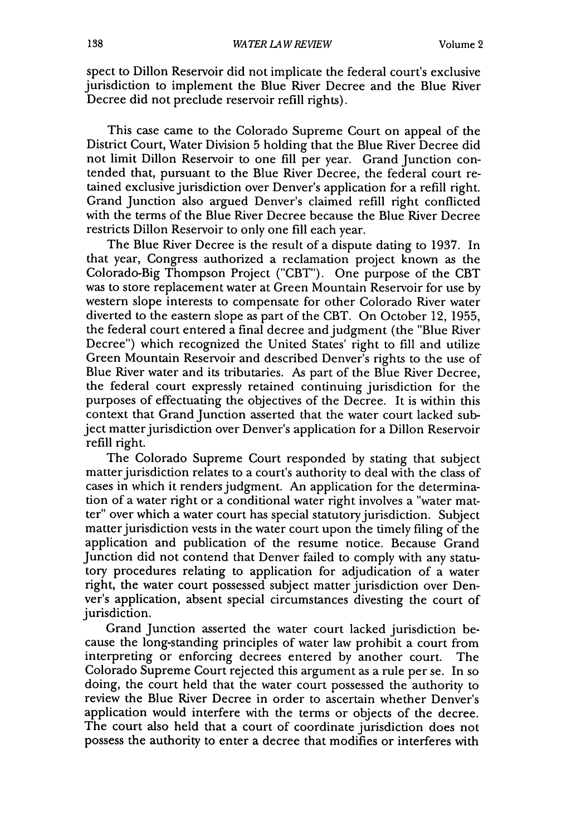spect to Dillon Reservoir did not implicate the federal court's exclusive jurisdiction to implement the Blue River Decree and the Blue River Decree did not preclude reservoir refill rights).

This case came to the Colorado Supreme Court on appeal of the District Court, Water Division 5 holding that the Blue River Decree did not limit Dillon Reservoir to one fill per year. Grand Junction contended that, pursuant to the Blue River Decree, the federal court retained exclusive jurisdiction over Denver's application for a refill right. Grand Junction also argued Denver's claimed refill right conflicted with the terms of the Blue River Decree because the Blue River Decree restricts Dillon Reservoir to only one fill each year.

The Blue River Decree is the result of a dispute dating to 1937. In that year, Congress authorized a reclamation project known as the Colorado-Big Thompson Project ("CBT"). One purpose of the CBT was to store replacement water at Green Mountain Reservoir for use by western slope interests to compensate for other Colorado River water diverted to the eastern slope as part of the CBT. On October 12, 1955, the federal court entered a final decree and judgment (the "Blue River Decree") which recognized the United States' right to fill and utilize Green Mountain Reservoir and described Denver's rights to the use of Blue River water and its tributaries. As part of the Blue River Decree, the federal court expressly retained continuing jurisdiction for the purposes of effectuating the objectives of the Decree. It is within this context that Grand Junction asserted that the water court lacked subject matter jurisdiction over Denver's application for a Dillon Reservoir refill right.

The Colorado Supreme Court responded by stating that subject matter jurisdiction relates to a court's authority to deal with the class of cases in which it renders judgment. An application for the determination of a water right or a conditional water right involves a "water matter" over which a water court has special statutory jurisdiction. Subject matter jurisdiction vests in the water court upon the timely filing of the application and publication of the resume notice. Because Grand Junction did not contend that Denver failed to comply with any statutory procedures relating to application for adjudication of a water right, the water court possessed subject matter jurisdiction over Denver's application, absent special circumstances divesting the court of jurisdiction.

Grand Junction asserted the water court lacked jurisdiction because the long-standing principles of water law prohibit a court from interpreting or enforcing decrees entered by another court. The Colorado Supreme Court rejected this argument as a rule per se. In so doing, the court held that the water court possessed the authority to review the Blue River Decree in order to ascertain whether Denver's application would interfere with the terms or objects of the decree. The court also held that a court of coordinate jurisdiction does not possess the authority to enter a decree that modifies or interferes with